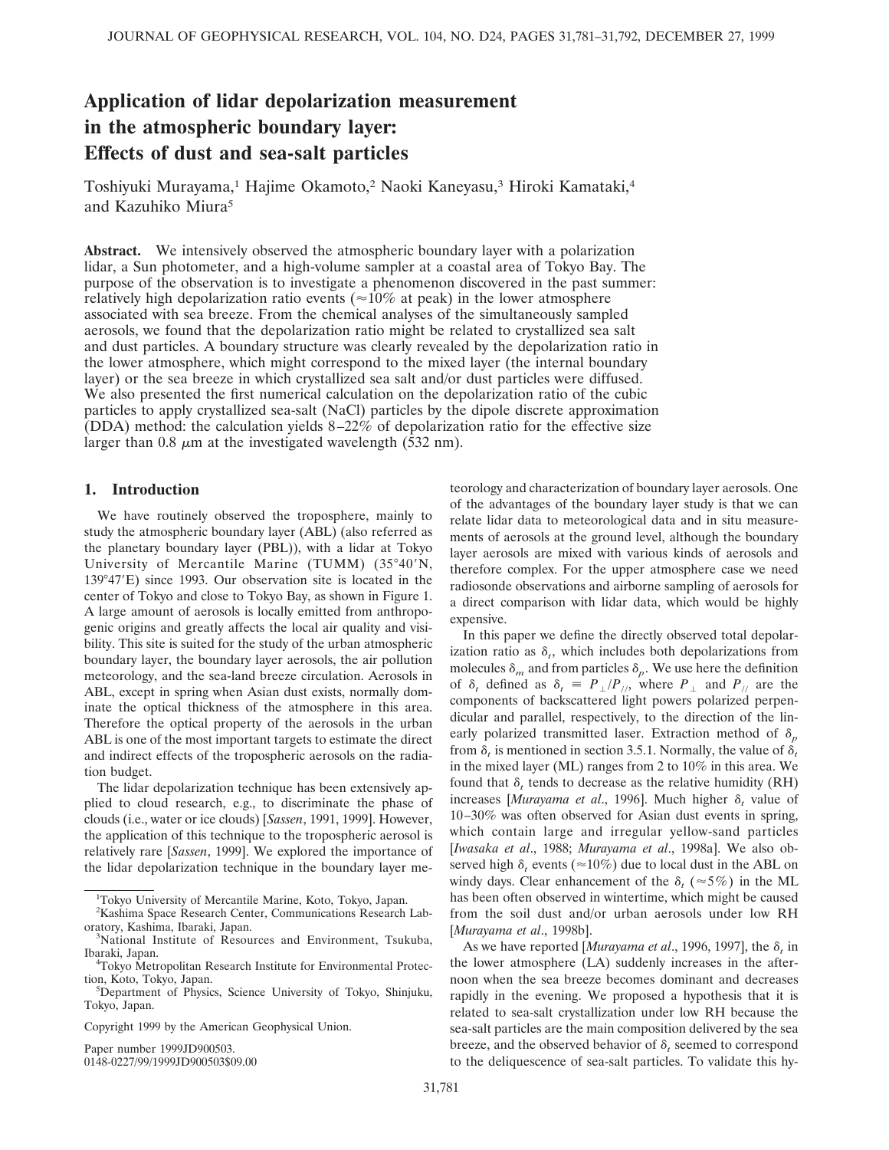# **Application of lidar depolarization measurement in the atmospheric boundary layer: Effects of dust and sea-salt particles**

Toshiyuki Murayama,<sup>1</sup> Hajime Okamoto,<sup>2</sup> Naoki Kaneyasu,<sup>3</sup> Hiroki Kamataki,<sup>4</sup> and Kazuhiko Miura<sup>5</sup>

**Abstract.** We intensively observed the atmospheric boundary layer with a polarization lidar, a Sun photometer, and a high-volume sampler at a coastal area of Tokyo Bay. The purpose of the observation is to investigate a phenomenon discovered in the past summer: relatively high depolarization ratio events ( $\approx$ 10% at peak) in the lower atmosphere associated with sea breeze. From the chemical analyses of the simultaneously sampled aerosols, we found that the depolarization ratio might be related to crystallized sea salt and dust particles. A boundary structure was clearly revealed by the depolarization ratio in the lower atmosphere, which might correspond to the mixed layer (the internal boundary layer) or the sea breeze in which crystallized sea salt and/or dust particles were diffused. We also presented the first numerical calculation on the depolarization ratio of the cubic particles to apply crystallized sea-salt (NaCl) particles by the dipole discrete approximation (DDA) method: the calculation yields  $8-22\%$  of depolarization ratio for the effective size larger than 0.8  $\mu$ m at the investigated wavelength (532 nm).

# **1. Introduction**

We have routinely observed the troposphere, mainly to study the atmospheric boundary layer (ABL) (also referred as the planetary boundary layer (PBL)), with a lidar at Tokyo University of Mercantile Marine (TUMM)  $(35°40'N,$ 139°47'E) since 1993. Our observation site is located in the center of Tokyo and close to Tokyo Bay, as shown in Figure 1. A large amount of aerosols is locally emitted from anthropogenic origins and greatly affects the local air quality and visibility. This site is suited for the study of the urban atmospheric boundary layer, the boundary layer aerosols, the air pollution meteorology, and the sea-land breeze circulation. Aerosols in ABL, except in spring when Asian dust exists, normally dominate the optical thickness of the atmosphere in this area. Therefore the optical property of the aerosols in the urban ABL is one of the most important targets to estimate the direct and indirect effects of the tropospheric aerosols on the radiation budget.

The lidar depolarization technique has been extensively applied to cloud research, e.g., to discriminate the phase of clouds (i.e., water or ice clouds) [*Sassen*, 1991, 1999]. However, the application of this technique to the tropospheric aerosol is relatively rare [*Sassen*, 1999]. We explored the importance of the lidar depolarization technique in the boundary layer me-

Paper number 1999JD900503.

0148-0227/99/1999JD900503\$09.00

teorology and characterization of boundary layer aerosols. One of the advantages of the boundary layer study is that we can relate lidar data to meteorological data and in situ measurements of aerosols at the ground level, although the boundary layer aerosols are mixed with various kinds of aerosols and therefore complex. For the upper atmosphere case we need radiosonde observations and airborne sampling of aerosols for a direct comparison with lidar data, which would be highly expensive.

In this paper we define the directly observed total depolarization ratio as  $\delta_t$ , which includes both depolarizations from molecules  $\delta_m$  and from particles  $\delta_p$ . We use here the definition of  $\delta_t$  defined as  $\delta_t = P_{\perp}/P_{\parallel}$ , where  $P_{\perp}$  and  $P_{\parallel}$  are the components of backscattered light powers polarized perpendicular and parallel, respectively, to the direction of the linearly polarized transmitted laser. Extraction method of  $\delta_p$ from  $\delta_t$  is mentioned in section 3.5.1. Normally, the value of  $\delta_t$ in the mixed layer (ML) ranges from 2 to 10% in this area. We found that  $\delta_t$  tends to decrease as the relative humidity (RH) increases [*Murayama et al.*, 1996]. Much higher  $\delta_t$  value of 10–30% was often observed for Asian dust events in spring, which contain large and irregular yellow-sand particles [*Iwasaka et al*., 1988; *Murayama et al*., 1998a]. We also observed high  $\delta_t$  events ( $\approx$ 10%) due to local dust in the ABL on windy days. Clear enhancement of the  $\delta$ , ( $\approx$ 5%) in the ML has been often observed in wintertime, which might be caused from the soil dust and/or urban aerosols under low RH [*Murayama et al*., 1998b].

As we have reported [*Murayama et al.*, 1996, 1997], the  $\delta_t$  in the lower atmosphere (LA) suddenly increases in the afternoon when the sea breeze becomes dominant and decreases rapidly in the evening. We proposed a hypothesis that it is related to sea-salt crystallization under low RH because the sea-salt particles are the main composition delivered by the sea breeze, and the observed behavior of  $\delta_t$  seemed to correspond to the deliquescence of sea-salt particles. To validate this hy-

<sup>&</sup>lt;sup>1</sup>Tokyo University of Mercantile Marine, Koto, Tokyo, Japan.

<sup>2</sup> Kashima Space Research Center, Communications Research Laboratory, Kashima, Ibaraki, Japan. <sup>3</sup>

<sup>&</sup>lt;sup>3</sup>National Institute of Resources and Environment, Tsukuba, Ibaraki, Japan. <sup>4</sup>

Tokyo Metropolitan Research Institute for Environmental Protection, Koto, Tokyo, Japan.

<sup>&</sup>lt;sup>5</sup>Department of Physics, Science University of Tokyo, Shinjuku, Tokyo, Japan.

Copyright 1999 by the American Geophysical Union.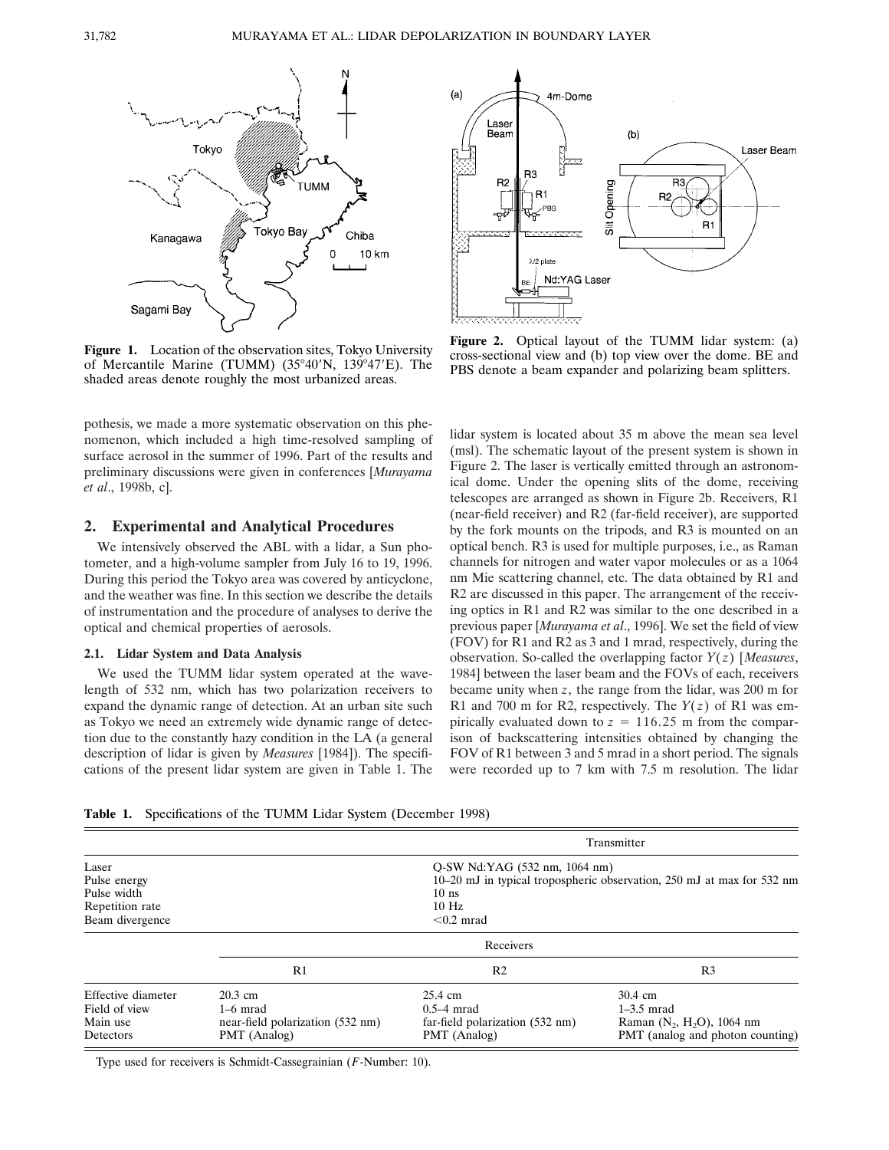

**Figure 1.** Location of the observation sites, Tokyo University of Mercantile Marine (TUMM)  $(35°40'N, 139°47'E)$ . The shaded areas denote roughly the most urbanized areas.

pothesis, we made a more systematic observation on this phenomenon, which included a high time-resolved sampling of surface aerosol in the summer of 1996. Part of the results and preliminary discussions were given in conferences [*Murayama et al*., 1998b, c].

# **2. Experimental and Analytical Procedures**

We intensively observed the ABL with a lidar, a Sun photometer, and a high-volume sampler from July 16 to 19, 1996. During this period the Tokyo area was covered by anticyclone, and the weather was fine. In this section we describe the details of instrumentation and the procedure of analyses to derive the optical and chemical properties of aerosols.

#### **2.1. Lidar System and Data Analysis**

We used the TUMM lidar system operated at the wavelength of 532 nm, which has two polarization receivers to expand the dynamic range of detection. At an urban site such as Tokyo we need an extremely wide dynamic range of detection due to the constantly hazy condition in the LA (a general description of lidar is given by *Measures* [1984]). The specifications of the present lidar system are given in Table 1. The



**Figure 2.** Optical layout of the TUMM lidar system: (a) cross-sectional view and (b) top view over the dome. BE and PBS denote a beam expander and polarizing beam splitters.

lidar system is located about 35 m above the mean sea level (msl). The schematic layout of the present system is shown in Figure 2. The laser is vertically emitted through an astronomical dome. Under the opening slits of the dome, receiving telescopes are arranged as shown in Figure 2b. Receivers, R1 (near-field receiver) and R2 (far-field receiver), are supported by the fork mounts on the tripods, and R3 is mounted on an optical bench. R3 is used for multiple purposes, i.e., as Raman channels for nitrogen and water vapor molecules or as a 1064 nm Mie scattering channel, etc. The data obtained by R1 and R2 are discussed in this paper. The arrangement of the receiving optics in R1 and R2 was similar to the one described in a previous paper [*Murayama et al*., 1996]. We set the field of view (FOV) for R1 and R2 as 3 and 1 mrad, respectively, during the observation. So-called the overlapping factor *Y*(*z*) [*Measures*, 1984] between the laser beam and the FOVs of each, receivers became unity when *z*, the range from the lidar, was 200 m for R1 and 700 m for R2, respectively. The *Y*(*z*) of R1 was empirically evaluated down to  $z = 116.25$  m from the comparison of backscattering intensities obtained by changing the FOV of R1 between 3 and 5 mrad in a short period. The signals were recorded up to 7 km with 7.5 m resolution. The lidar

**Table 1.** Specifications of the TUMM Lidar System (December 1998)

|                                                                            |                                                                                                                                               | Transmitter                                                                |                                                                                                        |
|----------------------------------------------------------------------------|-----------------------------------------------------------------------------------------------------------------------------------------------|----------------------------------------------------------------------------|--------------------------------------------------------------------------------------------------------|
| Laser<br>Pulse energy<br>Pulse width<br>Repetition rate<br>Beam divergence | Q-SW Nd:YAG (532 nm, 1064 nm)<br>10–20 mJ in typical tropospheric observation, 250 mJ at max for 532 nm<br>$10$ ns<br>$10$ Hz<br>$< 0.2$ mrad |                                                                            |                                                                                                        |
|                                                                            | Receivers                                                                                                                                     |                                                                            |                                                                                                        |
|                                                                            | R1                                                                                                                                            | R2                                                                         | R <sub>3</sub>                                                                                         |
| Effective diameter<br>Field of view<br>Main use<br>Detectors               | $20.3$ cm<br>$1-6$ mrad<br>near-field polarization (532 nm)<br>PMT (Analog)                                                                   | 25.4 cm<br>$0.5-4$ mrad<br>far-field polarization (532 nm)<br>PMT (Analog) | $30.4 \text{ cm}$<br>$1-3.5$ mrad<br>Raman $(N_2, H_2O)$ , 1064 nm<br>PMT (analog and photon counting) |

Type used for receivers is Schmidt-Cassegrainian (*F*-Number: 10).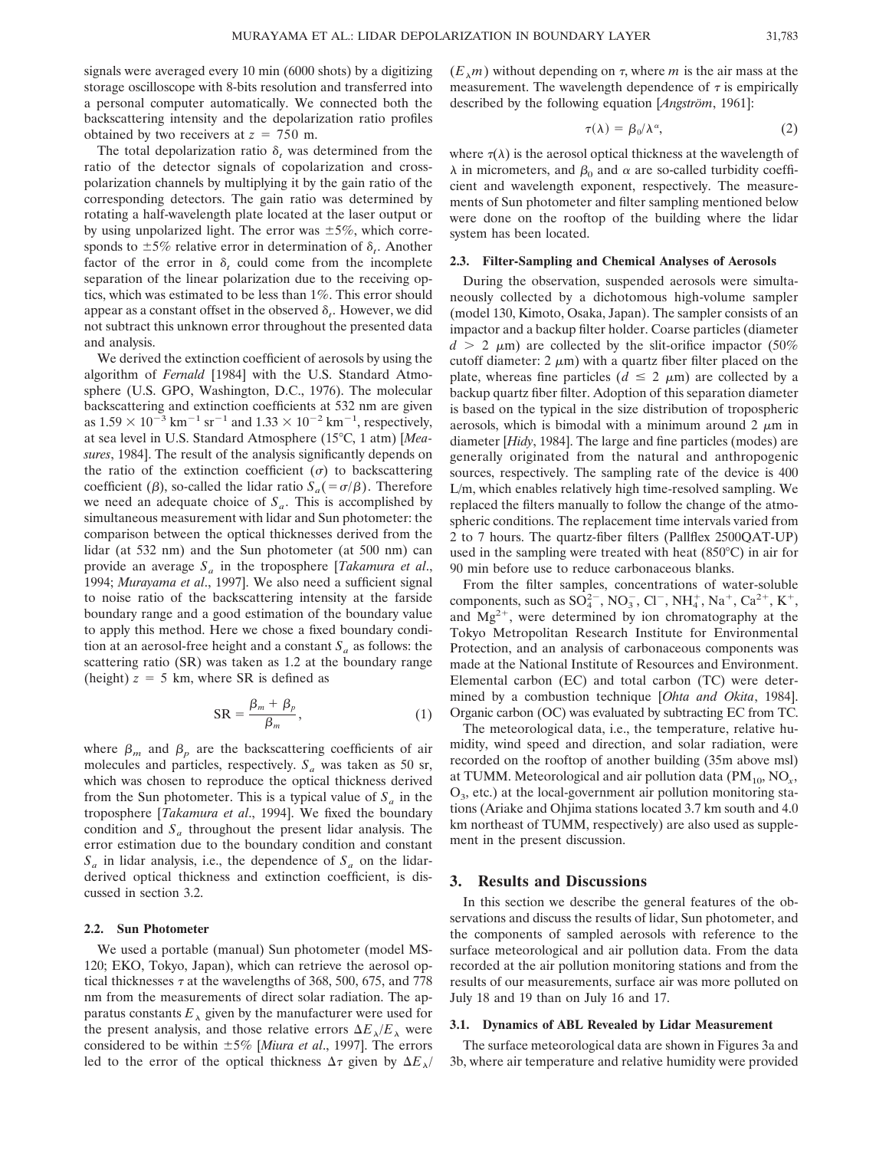signals were averaged every 10 min (6000 shots) by a digitizing storage oscilloscope with 8-bits resolution and transferred into a personal computer automatically. We connected both the backscattering intensity and the depolarization ratio profiles obtained by two receivers at  $z = 750$  m.

The total depolarization ratio  $\delta_t$  was determined from the ratio of the detector signals of copolarization and crosspolarization channels by multiplying it by the gain ratio of the corresponding detectors. The gain ratio was determined by rotating a half-wavelength plate located at the laser output or by using unpolarized light. The error was  $\pm 5\%$ , which corresponds to  $\pm 5\%$  relative error in determination of  $\delta_t$ . Another factor of the error in  $\delta_t$  could come from the incomplete separation of the linear polarization due to the receiving optics, which was estimated to be less than 1%. This error should appear as a constant offset in the observed  $\delta_t$ . However, we did not subtract this unknown error throughout the presented data and analysis.

We derived the extinction coefficient of aerosols by using the algorithm of *Fernald* [1984] with the U.S. Standard Atmosphere (U.S. GPO, Washington, D.C., 1976). The molecular backscattering and extinction coefficients at 532 nm are given as  $1.59 \times 10^{-3}$  km<sup>-1</sup> sr<sup>-1</sup> and  $1.33 \times 10^{-2}$  km<sup>-1</sup>, respectively, at sea level in U.S. Standard Atmosphere (15°C, 1 atm) [Mea*sures*, 1984]. The result of the analysis significantly depends on the ratio of the extinction coefficient  $(\sigma)$  to backscattering coefficient ( $\beta$ ), so-called the lidar ratio  $S_a(-\sigma/\beta)$ . Therefore we need an adequate choice of  $S_a$ . This is accomplished by simultaneous measurement with lidar and Sun photometer: the comparison between the optical thicknesses derived from the lidar (at 532 nm) and the Sun photometer (at 500 nm) can provide an average *Sa* in the troposphere [*Takamura et al*., 1994; *Murayama et al*., 1997]. We also need a sufficient signal to noise ratio of the backscattering intensity at the farside boundary range and a good estimation of the boundary value to apply this method. Here we chose a fixed boundary condition at an aerosol-free height and a constant  $S_a$  as follows: the scattering ratio (SR) was taken as 1.2 at the boundary range (height)  $z = 5$  km, where SR is defined as

$$
SR = \frac{\beta_m + \beta_p}{\beta_m},\tag{1}
$$

where  $\beta_m$  and  $\beta_p$  are the backscattering coefficients of air molecules and particles, respectively.  $S_a$  was taken as 50 sr, which was chosen to reproduce the optical thickness derived from the Sun photometer. This is a typical value of  $S_a$  in the troposphere [*Takamura et al*., 1994]. We fixed the boundary condition and  $S_a$  throughout the present lidar analysis. The error estimation due to the boundary condition and constant  $S_a$  in lidar analysis, i.e., the dependence of  $S_a$  on the lidarderived optical thickness and extinction coefficient, is discussed in section 3.2.

#### **2.2. Sun Photometer**

We used a portable (manual) Sun photometer (model MS-120; EKO, Tokyo, Japan), which can retrieve the aerosol optical thicknesses  $\tau$  at the wavelengths of 368, 500, 675, and 778 nm from the measurements of direct solar radiation. The apparatus constants  $E_{\lambda}$  given by the manufacturer were used for the present analysis, and those relative errors  $\Delta E_{\lambda}/E_{\lambda}$  were considered to be within 65% [*Miura et al*., 1997]. The errors led to the error of the optical thickness  $\Delta \tau$  given by  $\Delta E$ <sub> $\lambda$ </sub>/

 $(E_{\lambda}m)$  without depending on  $\tau$ , where *m* is the air mass at the measurement. The wavelength dependence of  $\tau$  is empirically described by the following equation [*Angström*, 1961]:

$$
\tau(\lambda) = \beta_0/\lambda^{\alpha}, \qquad (2)
$$

where  $\tau(\lambda)$  is the aerosol optical thickness at the wavelength of  $\lambda$  in micrometers, and  $\beta_0$  and  $\alpha$  are so-called turbidity coefficient and wavelength exponent, respectively. The measurements of Sun photometer and filter sampling mentioned below were done on the rooftop of the building where the lidar system has been located.

#### **2.3. Filter-Sampling and Chemical Analyses of Aerosols**

During the observation, suspended aerosols were simultaneously collected by a dichotomous high-volume sampler (model 130, Kimoto, Osaka, Japan). The sampler consists of an impactor and a backup filter holder. Coarse particles (diameter  $d > 2 \mu m$ ) are collected by the slit-orifice impactor (50%) cutoff diameter:  $2 \mu m$ ) with a quartz fiber filter placed on the plate, whereas fine particles ( $d \leq 2 \mu m$ ) are collected by a backup quartz fiber filter. Adoption of this separation diameter is based on the typical in the size distribution of tropospheric aerosols, which is bimodal with a minimum around  $2 \mu m$  in diameter [*Hidy*, 1984]. The large and fine particles (modes) are generally originated from the natural and anthropogenic sources, respectively. The sampling rate of the device is 400 L/m, which enables relatively high time-resolved sampling. We replaced the filters manually to follow the change of the atmospheric conditions. The replacement time intervals varied from 2 to 7 hours. The quartz-fiber filters (Pallflex 2500QAT-UP) used in the sampling were treated with heat  $(850^{\circ}C)$  in air for 90 min before use to reduce carbonaceous blanks.

From the filter samples, concentrations of water-soluble components, such as  $SO_4^{2-}$ , NO<sub>3</sub>, Cl<sup>-</sup>, NH<sub>4</sub>, Na<sup>+</sup>, Ca<sup>2+</sup>, K<sup>+</sup>, and  $Mg^{2+}$ , were determined by ion chromatography at the Tokyo Metropolitan Research Institute for Environmental Protection, and an analysis of carbonaceous components was made at the National Institute of Resources and Environment. Elemental carbon (EC) and total carbon (TC) were determined by a combustion technique [*Ohta and Okita*, 1984]. Organic carbon (OC) was evaluated by subtracting EC from TC.

The meteorological data, i.e., the temperature, relative humidity, wind speed and direction, and solar radiation, were recorded on the rooftop of another building (35m above msl) at TUMM. Meteorological and air pollution data  $(PM_{10}, NO_x,$  $O<sub>3</sub>$ , etc.) at the local-government air pollution monitoring stations (Ariake and Ohjima stations located 3.7 km south and 4.0 km northeast of TUMM, respectively) are also used as supplement in the present discussion.

#### **3. Results and Discussions**

In this section we describe the general features of the observations and discuss the results of lidar, Sun photometer, and the components of sampled aerosols with reference to the surface meteorological and air pollution data. From the data recorded at the air pollution monitoring stations and from the results of our measurements, surface air was more polluted on July 18 and 19 than on July 16 and 17.

#### **3.1. Dynamics of ABL Revealed by Lidar Measurement**

The surface meteorological data are shown in Figures 3a and 3b, where air temperature and relative humidity were provided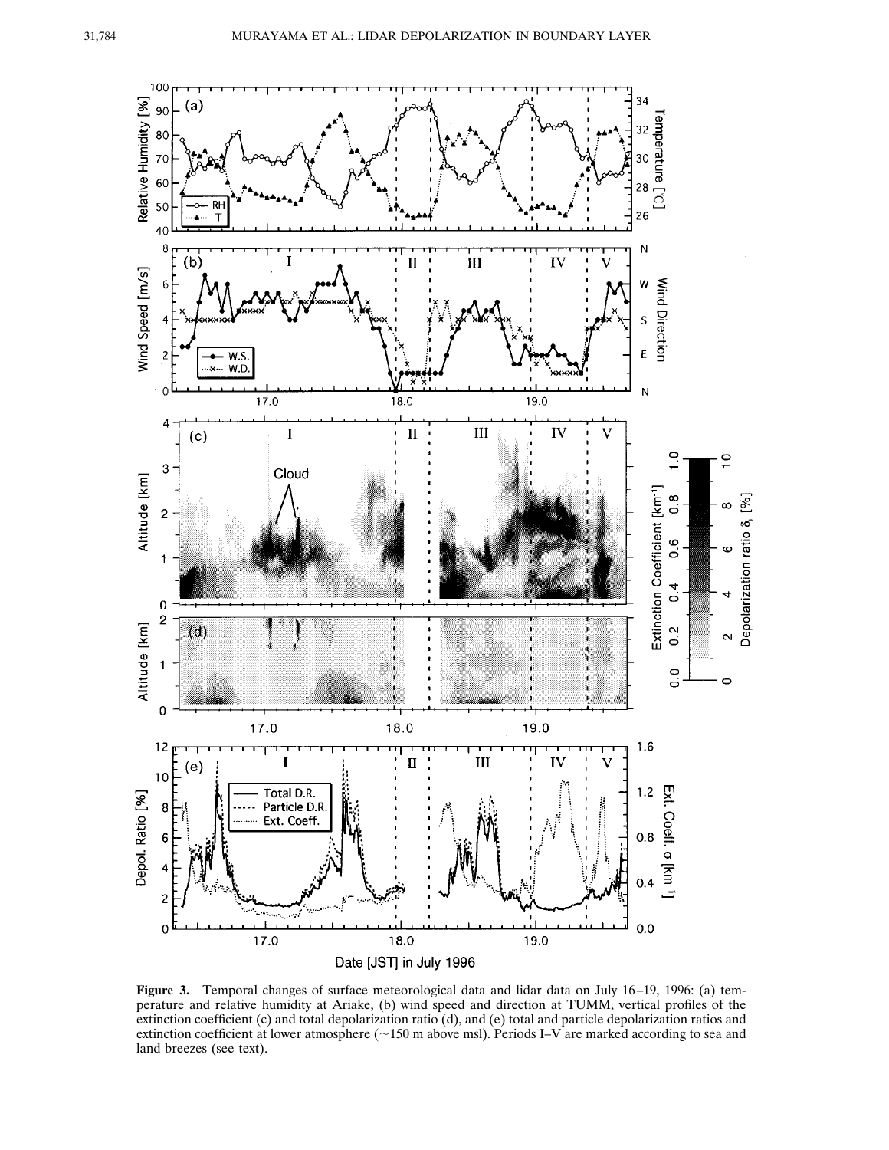

**Figure 3.** Temporal changes of surface meteorological data and lidar data on July 16–19, 1996: (a) temperature and relative humidity at Ariake, (b) wind speed and direction at TUMM, vertical profiles of the extinction coefficient (c) and total depolarization ratio (d), and (e) total and particle depolarization ratios and extinction coefficient at lower atmosphere ( $\sim$ 150 m above msl). Periods I–V are marked according to sea and land breezes (see text).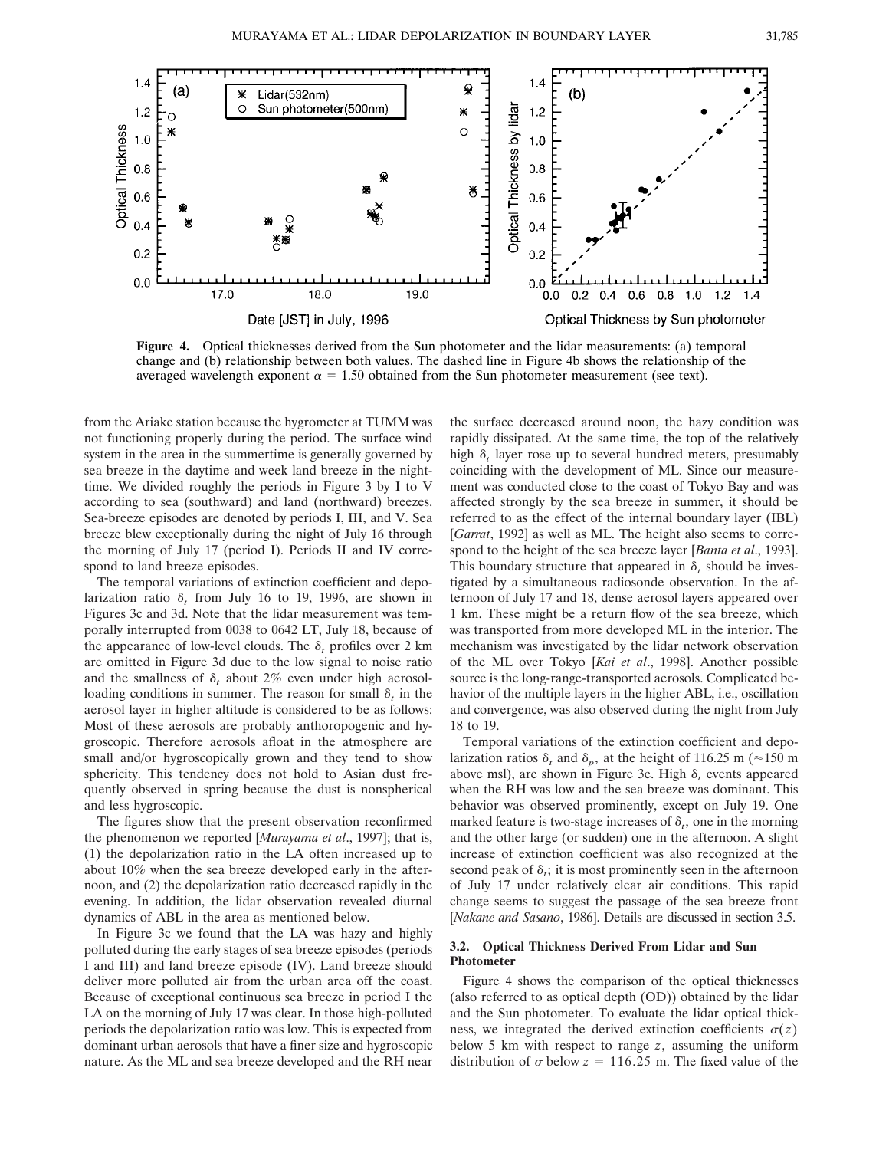

**Figure 4.** Optical thicknesses derived from the Sun photometer and the lidar measurements: (a) temporal change and (b) relationship between both values. The dashed line in Figure 4b shows the relationship of the averaged wavelength exponent  $\alpha = 1.50$  obtained from the Sun photometer measurement (see text).

from the Ariake station because the hygrometer at TUMM was not functioning properly during the period. The surface wind system in the area in the summertime is generally governed by sea breeze in the daytime and week land breeze in the nighttime. We divided roughly the periods in Figure 3 by I to V according to sea (southward) and land (northward) breezes. Sea-breeze episodes are denoted by periods I, III, and V. Sea breeze blew exceptionally during the night of July 16 through the morning of July 17 (period I). Periods II and IV correspond to land breeze episodes.

The temporal variations of extinction coefficient and depolarization ratio  $\delta_t$  from July 16 to 19, 1996, are shown in Figures 3c and 3d. Note that the lidar measurement was temporally interrupted from 0038 to 0642 LT, July 18, because of the appearance of low-level clouds. The  $\delta_t$  profiles over 2 km are omitted in Figure 3d due to the low signal to noise ratio and the smallness of  $\delta$ , about 2% even under high aerosolloading conditions in summer. The reason for small  $\delta_t$  in the aerosol layer in higher altitude is considered to be as follows: Most of these aerosols are probably anthoropogenic and hygroscopic. Therefore aerosols afloat in the atmosphere are small and/or hygroscopically grown and they tend to show sphericity. This tendency does not hold to Asian dust frequently observed in spring because the dust is nonspherical and less hygroscopic.

The figures show that the present observation reconfirmed the phenomenon we reported [*Murayama et al*., 1997]; that is, (1) the depolarization ratio in the LA often increased up to about 10% when the sea breeze developed early in the afternoon, and (2) the depolarization ratio decreased rapidly in the evening. In addition, the lidar observation revealed diurnal dynamics of ABL in the area as mentioned below.

In Figure 3c we found that the LA was hazy and highly polluted during the early stages of sea breeze episodes (periods I and III) and land breeze episode (IV). Land breeze should deliver more polluted air from the urban area off the coast. Because of exceptional continuous sea breeze in period I the LA on the morning of July 17 was clear. In those high-polluted periods the depolarization ratio was low. This is expected from dominant urban aerosols that have a finer size and hygroscopic nature. As the ML and sea breeze developed and the RH near

the surface decreased around noon, the hazy condition was rapidly dissipated. At the same time, the top of the relatively high  $\delta_t$  layer rose up to several hundred meters, presumably coinciding with the development of ML. Since our measurement was conducted close to the coast of Tokyo Bay and was affected strongly by the sea breeze in summer, it should be referred to as the effect of the internal boundary layer (IBL) [*Garrat*, 1992] as well as ML. The height also seems to correspond to the height of the sea breeze layer [*Banta et al*., 1993]. This boundary structure that appeared in  $\delta_t$  should be investigated by a simultaneous radiosonde observation. In the afternoon of July 17 and 18, dense aerosol layers appeared over 1 km. These might be a return flow of the sea breeze, which was transported from more developed ML in the interior. The mechanism was investigated by the lidar network observation of the ML over Tokyo [*Kai et al*., 1998]. Another possible source is the long-range-transported aerosols. Complicated behavior of the multiple layers in the higher ABL, i.e., oscillation and convergence, was also observed during the night from July 18 to 19.

Temporal variations of the extinction coefficient and depolarization ratios  $\delta_t$  and  $\delta_p$ , at the height of 116.25 m ( $\approx$ 150 m above msl), are shown in Figure 3e. High  $\delta_t$  events appeared when the RH was low and the sea breeze was dominant. This behavior was observed prominently, except on July 19. One marked feature is two-stage increases of  $\delta_t$ , one in the morning and the other large (or sudden) one in the afternoon. A slight increase of extinction coefficient was also recognized at the second peak of  $\delta$ <sub>i</sub>; it is most prominently seen in the afternoon of July 17 under relatively clear air conditions. This rapid change seems to suggest the passage of the sea breeze front [*Nakane and Sasano*, 1986]. Details are discussed in section 3.5.

## **3.2. Optical Thickness Derived From Lidar and Sun Photometer**

Figure 4 shows the comparison of the optical thicknesses (also referred to as optical depth (OD)) obtained by the lidar and the Sun photometer. To evaluate the lidar optical thickness, we integrated the derived extinction coefficients  $\sigma(z)$ below 5 km with respect to range *z*, assuming the uniform distribution of  $\sigma$  below  $z = 116.25$  m. The fixed value of the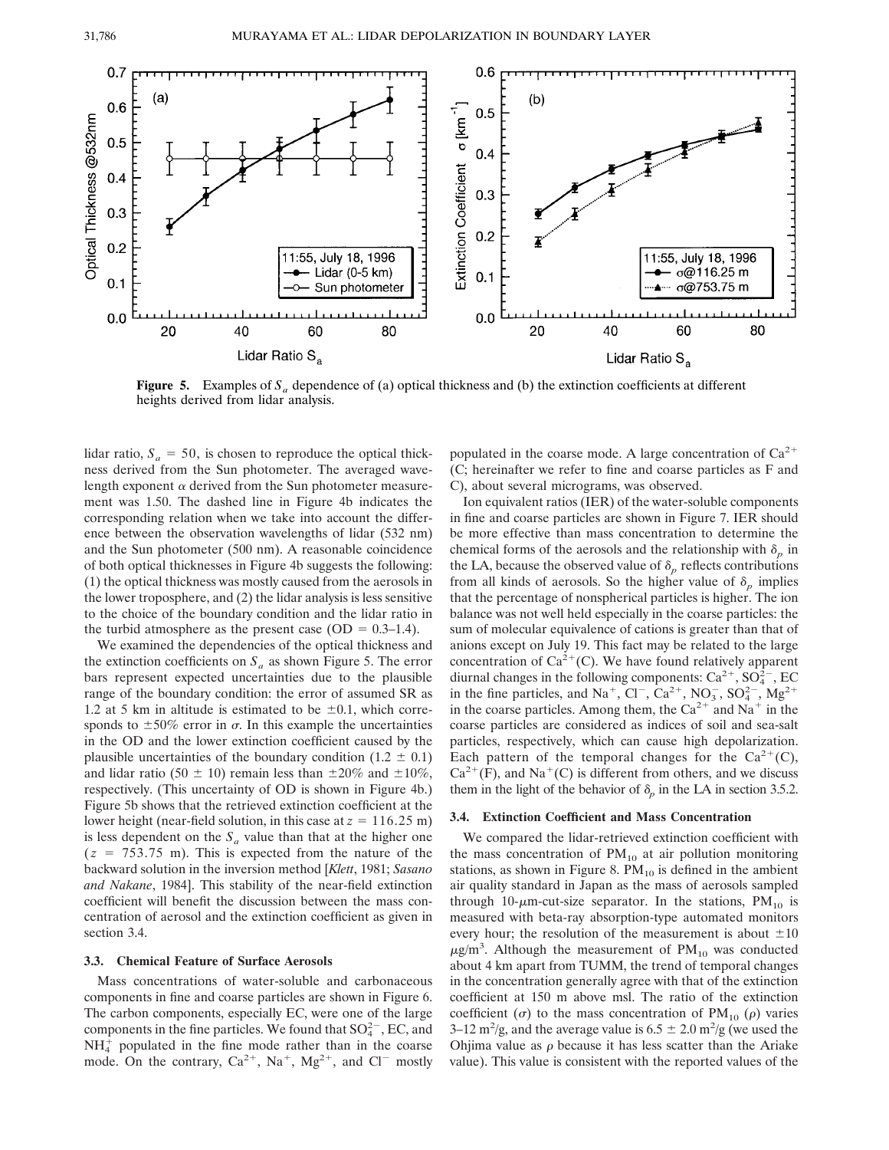

**Figure 5.** Examples of  $S_a$  dependence of (a) optical thickness and (b) the extinction coefficients at different heights derived from lidar analysis.

lidar ratio,  $S_a = 50$ , is chosen to reproduce the optical thickness derived from the Sun photometer. The averaged wavelength exponent  $\alpha$  derived from the Sun photometer measurement was 1.50. The dashed line in Figure 4b indicates the corresponding relation when we take into account the difference between the observation wavelengths of lidar (532 nm) and the Sun photometer (500 nm). A reasonable coincidence of both optical thicknesses in Figure 4b suggests the following: (1) the optical thickness was mostly caused from the aerosols in the lower troposphere, and (2) the lidar analysis is less sensitive to the choice of the boundary condition and the lidar ratio in the turbid atmosphere as the present case (OD =  $0.3-1.4$ ).

We examined the dependencies of the optical thickness and the extinction coefficients on  $S_a$  as shown Figure 5. The error bars represent expected uncertainties due to the plausible range of the boundary condition: the error of assumed SR as 1.2 at 5 km in altitude is estimated to be  $\pm 0.1$ , which corresponds to  $\pm 50\%$  error in  $\sigma$ . In this example the uncertainties in the OD and the lower extinction coefficient caused by the plausible uncertainties of the boundary condition (1.2  $\pm$  0.1) and lidar ratio (50  $\pm$  10) remain less than  $\pm 20\%$  and  $\pm 10\%$ , respectively. (This uncertainty of OD is shown in Figure 4b.) Figure 5b shows that the retrieved extinction coefficient at the lower height (near-field solution, in this case at  $z = 116.25$  m) is less dependent on the  $S_a$  value than that at the higher one  $(z = 753.75 \text{ m})$ . This is expected from the nature of the backward solution in the inversion method [*Klett*, 1981; *Sasano and Nakane*, 1984]. This stability of the near-field extinction coefficient will benefit the discussion between the mass concentration of aerosol and the extinction coefficient as given in section 3.4.

## **3.3. Chemical Feature of Surface Aerosols**

Mass concentrations of water-soluble and carbonaceous components in fine and coarse particles are shown in Figure 6. The carbon components, especially EC, were one of the large components in the fine particles. We found that  $SO_4^{2-}$ , EC, and  $NH_4^+$  populated in the fine mode rather than in the coarse mode. On the contrary,  $Ca^{2+}$ ,  $Na^{+}$ ,  $Mg^{2+}$ , and  $Cl^{-}$  mostly

populated in the coarse mode. A large concentration of  $Ca^{2+}$ (C; hereinafter we refer to fine and coarse particles as F and C), about several micrograms, was observed.

Ion equivalent ratios (IER) of the water-soluble components in fine and coarse particles are shown in Figure 7. IER should be more effective than mass concentration to determine the chemical forms of the aerosols and the relationship with  $\delta_p$  in the LA, because the observed value of  $\delta_p$  reflects contributions from all kinds of aerosols. So the higher value of  $\delta_p$  implies that the percentage of nonspherical particles is higher. The ion balance was not well held especially in the coarse particles: the sum of molecular equivalence of cations is greater than that of anions except on July 19. This fact may be related to the large concentration of  $Ca^{2+}(C)$ . We have found relatively apparent diurnal changes in the following components:  $Ca^{2+}$ ,  $SO_4^{2-}$ , EC in the fine particles, and Na<sup>+</sup>, Cl<sup>-</sup>, Ca<sup>2+</sup>, NO<sub>3</sub>, SO<sub>4</sub><sup>2</sup>, Mg<sup>2+</sup> in the coarse particles. Among them, the  $Ca^{2+}$  and Na<sup>+</sup> in the coarse particles are considered as indices of soil and sea-salt particles, respectively, which can cause high depolarization. Each pattern of the temporal changes for the  $Ca^{2+}(C)$ ,  $Ca^{2+}(F)$ , and Na<sup>+</sup>(C) is different from others, and we discuss them in the light of the behavior of  $\delta_p$  in the LA in section 3.5.2.

#### **3.4. Extinction Coefficient and Mass Concentration**

We compared the lidar-retrieved extinction coefficient with the mass concentration of  $PM_{10}$  at air pollution monitoring stations, as shown in Figure 8.  $PM_{10}$  is defined in the ambient air quality standard in Japan as the mass of aerosols sampled through 10- $\mu$ m-cut-size separator. In the stations, PM<sub>10</sub> is measured with beta-ray absorption-type automated monitors every hour; the resolution of the measurement is about  $\pm 10$  $\mu$ g/m<sup>3</sup>. Although the measurement of PM<sub>10</sub> was conducted about 4 km apart from TUMM, the trend of temporal changes in the concentration generally agree with that of the extinction coefficient at 150 m above msl. The ratio of the extinction coefficient ( $\sigma$ ) to the mass concentration of PM<sub>10</sub> ( $\rho$ ) varies 3–12 m<sup>2</sup>/g, and the average value is  $6.5 \pm 2.0$  m<sup>2</sup>/g (we used the Ohjima value as  $\rho$  because it has less scatter than the Ariake value). This value is consistent with the reported values of the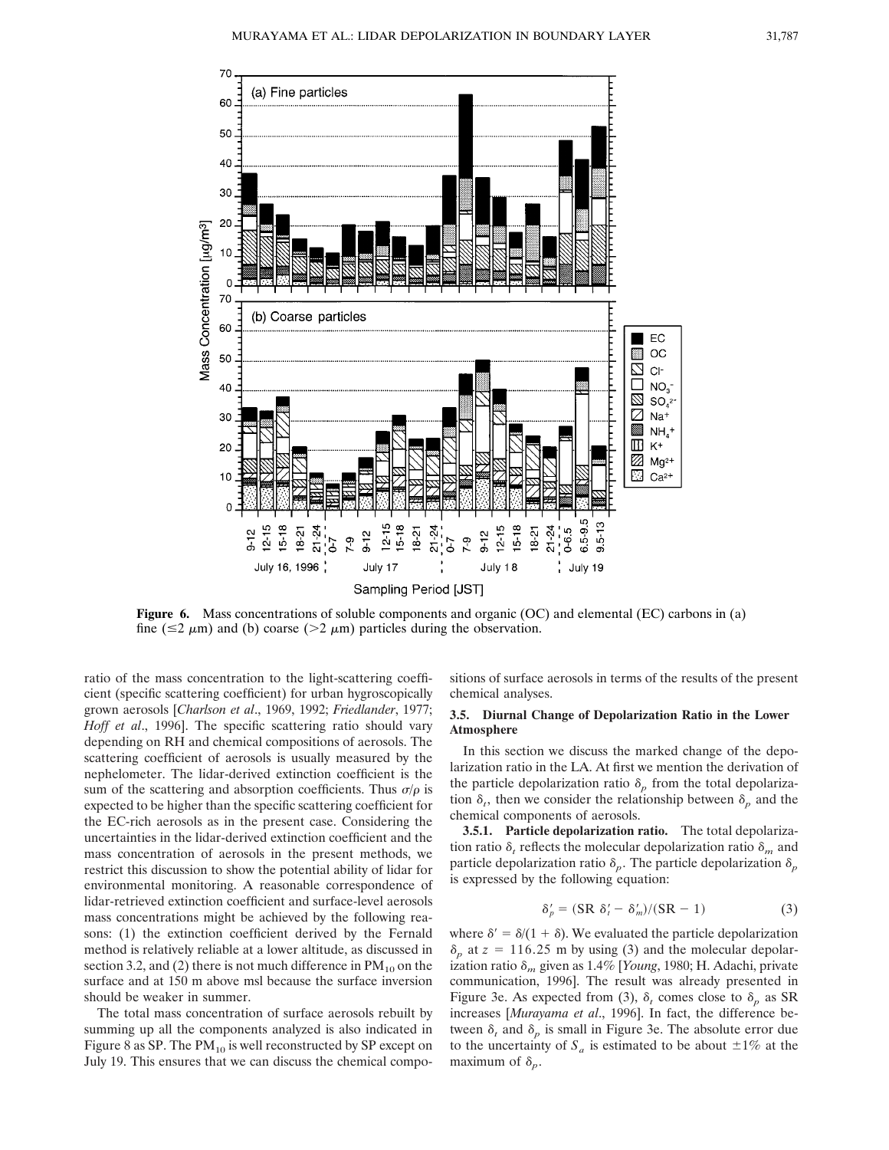

**Figure 6.** Mass concentrations of soluble components and organic (OC) and elemental (EC) carbons in (a) fine ( $\leq$ 2  $\mu$ m) and (b) coarse ( $>$ 2  $\mu$ m) particles during the observation.

ratio of the mass concentration to the light-scattering coefficient (specific scattering coefficient) for urban hygroscopically grown aerosols [*Charlson et al*., 1969, 1992; *Friedlander*, 1977; *Hoff et al*., 1996]. The specific scattering ratio should vary depending on RH and chemical compositions of aerosols. The scattering coefficient of aerosols is usually measured by the nephelometer. The lidar-derived extinction coefficient is the sum of the scattering and absorption coefficients. Thus  $\sigma/\rho$  is expected to be higher than the specific scattering coefficient for the EC-rich aerosols as in the present case. Considering the uncertainties in the lidar-derived extinction coefficient and the mass concentration of aerosols in the present methods, we restrict this discussion to show the potential ability of lidar for environmental monitoring. A reasonable correspondence of lidar-retrieved extinction coefficient and surface-level aerosols mass concentrations might be achieved by the following reasons: (1) the extinction coefficient derived by the Fernald method is relatively reliable at a lower altitude, as discussed in section 3.2, and (2) there is not much difference in  $PM_{10}$  on the surface and at 150 m above msl because the surface inversion should be weaker in summer.

The total mass concentration of surface aerosols rebuilt by summing up all the components analyzed is also indicated in Figure 8 as SP. The  $PM_{10}$  is well reconstructed by SP except on July 19. This ensures that we can discuss the chemical compositions of surface aerosols in terms of the results of the present chemical analyses.

## **3.5. Diurnal Change of Depolarization Ratio in the Lower Atmosphere**

In this section we discuss the marked change of the depolarization ratio in the LA. At first we mention the derivation of the particle depolarization ratio  $\delta_p$  from the total depolarization  $\delta_t$ , then we consider the relationship between  $\delta_p$  and the chemical components of aerosols.

**3.5.1. Particle depolarization ratio.** The total depolarization ratio  $\delta_t$  reflects the molecular depolarization ratio  $\delta_m$  and particle depolarization ratio  $\delta_p$ . The particle depolarization  $\delta_p$ is expressed by the following equation:

$$
\delta_p' = (SR \ \delta_t' - \delta_m')/(SR - 1) \tag{3}
$$

where  $\delta' = \delta/(1 + \delta)$ . We evaluated the particle depolarization  $\delta_p$  at  $z = 116.25$  m by using (3) and the molecular depolarization ratio  $\delta_m$  given as 1.4% [*Young*, 1980; H. Adachi, private communication, 1996]. The result was already presented in Figure 3e. As expected from (3),  $\delta_t$  comes close to  $\delta_p$  as SR increases [*Murayama et al*., 1996]. In fact, the difference between  $\delta_t$  and  $\delta_p$  is small in Figure 3e. The absolute error due to the uncertainty of  $S_a$  is estimated to be about  $\pm 1\%$  at the maximum of  $\delta_p$ .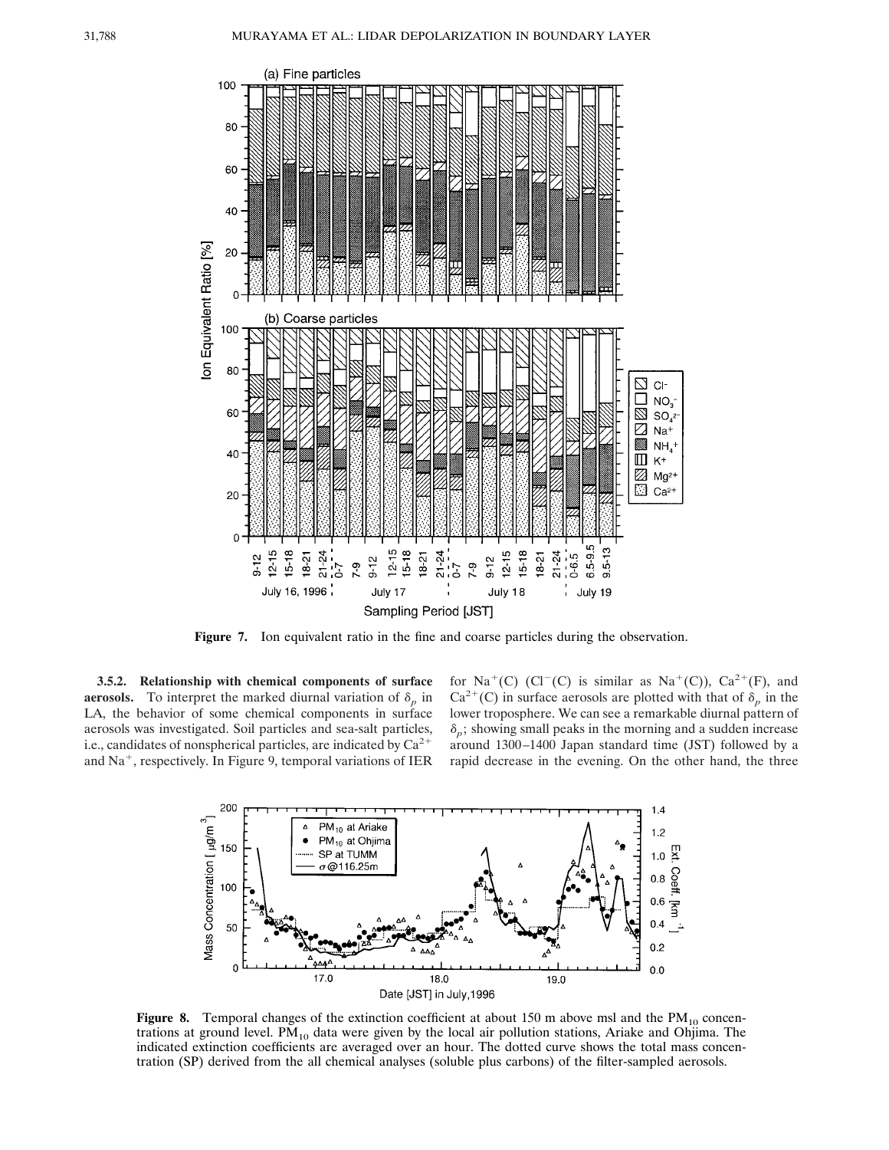

**Figure 7.** Ion equivalent ratio in the fine and coarse particles during the observation.

**3.5.2. Relationship with chemical components of surface aerosols.** To interpret the marked diurnal variation of  $\delta_p$  in LA, the behavior of some chemical components in surface aerosols was investigated. Soil particles and sea-salt particles, i.e., candidates of nonspherical particles, are indicated by  $Ca^{2+}$ and  $Na<sup>+</sup>$ , respectively. In Figure 9, temporal variations of IER

for Na<sup>+</sup>(C) (Cl<sup>-</sup>(C) is similar as Na<sup>+</sup>(C)), Ca<sup>2+</sup>(F), and  $Ca^{2+}(C)$  in surface aerosols are plotted with that of  $\delta_p$  in the lower troposphere. We can see a remarkable diurnal pattern of  $\delta_p$ ; showing small peaks in the morning and a sudden increase around 1300–1400 Japan standard time (JST) followed by a rapid decrease in the evening. On the other hand, the three



**Figure 8.** Temporal changes of the extinction coefficient at about 150 m above msl and the  $PM_{10}$  concentrations at ground level.  $PM_{10}$  data were given by the local air pollution stations, Ariake and Ohjima. The indicated extinction coefficients are averaged over an hour. The dotted curve shows the total mass concentration (SP) derived from the all chemical analyses (soluble plus carbons) of the filter-sampled aerosols.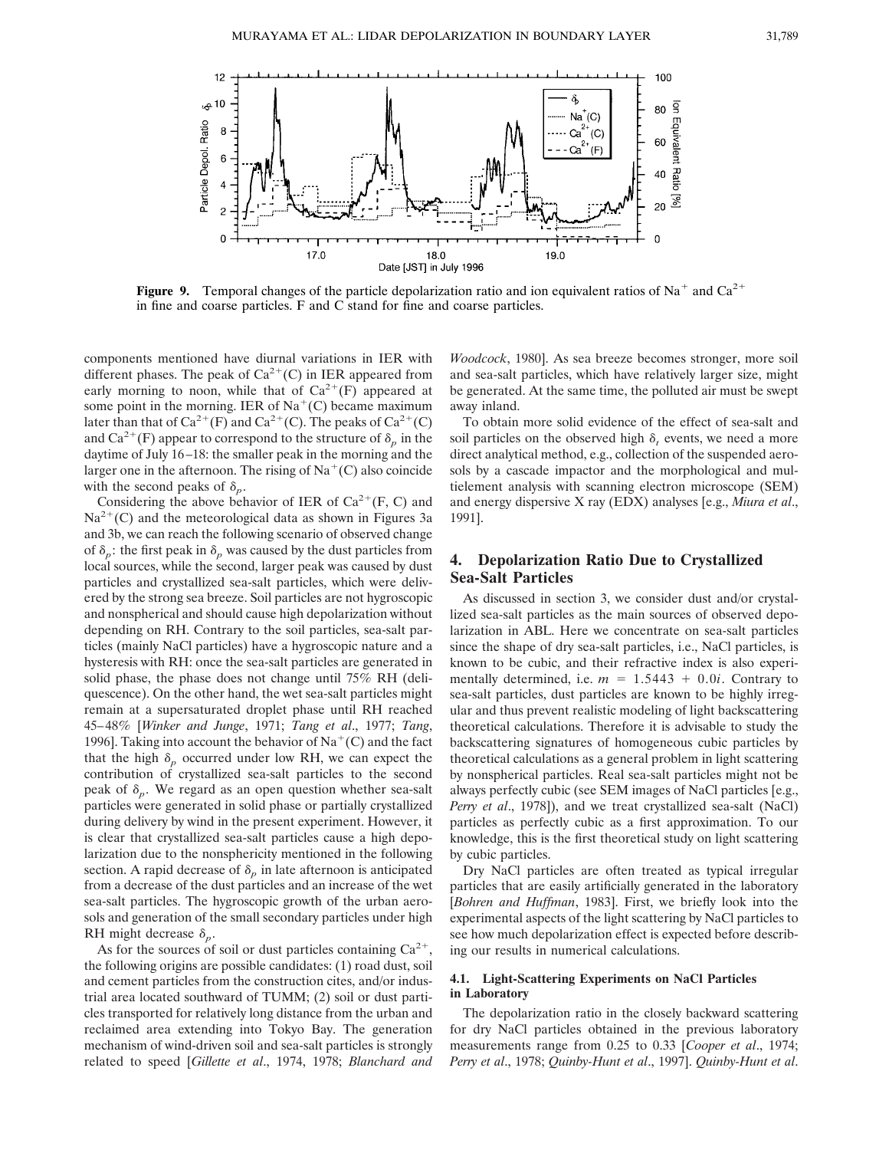

**Figure 9.** Temporal changes of the particle depolarization ratio and ion equivalent ratios of Na<sup>+</sup> and Ca<sup>2+</sup> in fine and coarse particles. F and C stand for fine and coarse particles.

components mentioned have diurnal variations in IER with different phases. The peak of  $Ca^{2+}(C)$  in IER appeared from early morning to noon, while that of  $Ca^{2+}(F)$  appeared at some point in the morning. IER of  $Na<sup>+</sup>(C)$  became maximum later than that of  $Ca^{2+}(F)$  and  $Ca^{2+}(C)$ . The peaks of  $Ca^{2+}(C)$ and  $Ca^{2+}(F)$  appear to correspond to the structure of  $\delta_p$  in the daytime of July  $16-18$ : the smaller peak in the morning and the larger one in the afternoon. The rising of  $Na<sup>+</sup>(C)$  also coincide with the second peaks of  $\delta_p$ .

Considering the above behavior of IER of  $Ca^{2+}(F, C)$  and  $Na^{2+}(C)$  and the meteorological data as shown in Figures 3a and 3b, we can reach the following scenario of observed change of  $\delta_p$ : the first peak in  $\delta_p$  was caused by the dust particles from local sources, while the second, larger peak was caused by dust particles and crystallized sea-salt particles, which were delivered by the strong sea breeze. Soil particles are not hygroscopic and nonspherical and should cause high depolarization without depending on RH. Contrary to the soil particles, sea-salt particles (mainly NaCl particles) have a hygroscopic nature and a hysteresis with RH: once the sea-salt particles are generated in solid phase, the phase does not change until 75% RH (deliquescence). On the other hand, the wet sea-salt particles might remain at a supersaturated droplet phase until RH reached 45–48% [*Winker and Junge*, 1971; *Tang et al*., 1977; *Tang*, 1996]. Taking into account the behavior of  $\text{Na}^+(\text{C})$  and the fact that the high  $\delta_p$  occurred under low RH, we can expect the contribution of crystallized sea-salt particles to the second peak of  $\delta_p$ . We regard as an open question whether sea-salt particles were generated in solid phase or partially crystallized during delivery by wind in the present experiment. However, it is clear that crystallized sea-salt particles cause a high depolarization due to the nonsphericity mentioned in the following section. A rapid decrease of  $\delta_p$  in late afternoon is anticipated from a decrease of the dust particles and an increase of the wet sea-salt particles. The hygroscopic growth of the urban aerosols and generation of the small secondary particles under high RH might decrease  $\delta_p$ .

As for the sources of soil or dust particles containing  $Ca^{2+}$ the following origins are possible candidates: (1) road dust, soil and cement particles from the construction cites, and/or industrial area located southward of TUMM; (2) soil or dust particles transported for relatively long distance from the urban and reclaimed area extending into Tokyo Bay. The generation mechanism of wind-driven soil and sea-salt particles is strongly related to speed [*Gillette et al*., 1974, 1978; *Blanchard and*

*Woodcock*, 1980]. As sea breeze becomes stronger, more soil and sea-salt particles, which have relatively larger size, might be generated. At the same time, the polluted air must be swept away inland.

To obtain more solid evidence of the effect of sea-salt and soil particles on the observed high  $\delta_t$  events, we need a more direct analytical method, e.g., collection of the suspended aerosols by a cascade impactor and the morphological and multielement analysis with scanning electron microscope (SEM) and energy dispersive X ray (EDX) analyses [e.g., *Miura et al*., 1991].

# **4. Depolarization Ratio Due to Crystallized Sea-Salt Particles**

As discussed in section 3, we consider dust and/or crystallized sea-salt particles as the main sources of observed depolarization in ABL. Here we concentrate on sea-salt particles since the shape of dry sea-salt particles, i.e., NaCl particles, is known to be cubic, and their refractive index is also experimentally determined, i.e.  $m = 1.5443 + 0.0i$ . Contrary to sea-salt particles, dust particles are known to be highly irregular and thus prevent realistic modeling of light backscattering theoretical calculations. Therefore it is advisable to study the backscattering signatures of homogeneous cubic particles by theoretical calculations as a general problem in light scattering by nonspherical particles. Real sea-salt particles might not be always perfectly cubic (see SEM images of NaCl particles [e.g., *Perry et al*., 1978]), and we treat crystallized sea-salt (NaCl) particles as perfectly cubic as a first approximation. To our knowledge, this is the first theoretical study on light scattering by cubic particles.

Dry NaCl particles are often treated as typical irregular particles that are easily artificially generated in the laboratory [*Bohren and Huffman*, 1983]. First, we briefly look into the experimental aspects of the light scattering by NaCl particles to see how much depolarization effect is expected before describing our results in numerical calculations.

## **4.1. Light-Scattering Experiments on NaCl Particles in Laboratory**

The depolarization ratio in the closely backward scattering for dry NaCl particles obtained in the previous laboratory measurements range from 0.25 to 0.33 [*Cooper et al*., 1974; *Perry et al*., 1978; *Quinby-Hunt et al*., 1997]. *Quinby-Hunt et al*.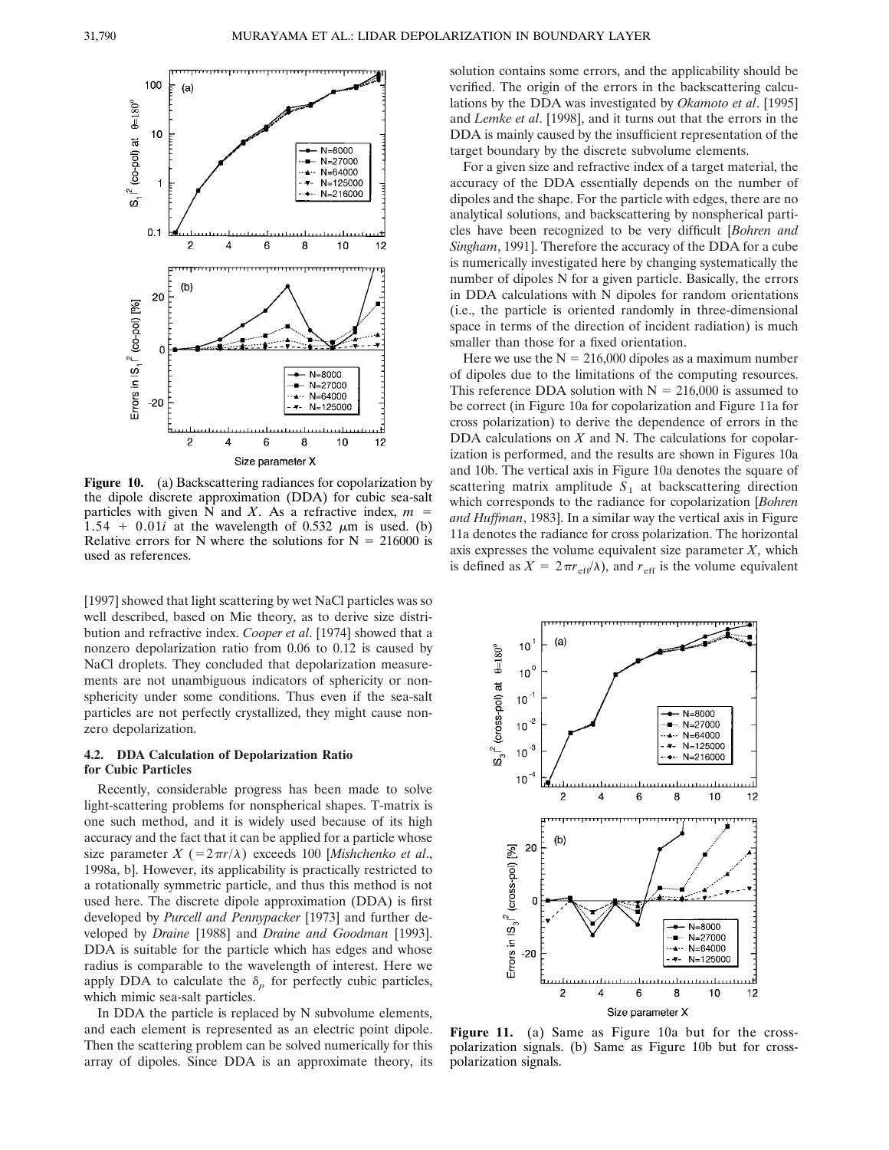

**Figure 10.** (a) Backscattering radiances for copolarization by the dipole discrete approximation (DDA) for cubic sea-salt particles with given N and *X*. As a refractive index,  $m =$  $1.54 + 0.01i$  at the wavelength of 0.532  $\mu$ m is used. (b) Relative errors for N where the solutions for  $N = 216000$  is used as references.

[1997] showed that light scattering by wet NaCl particles was so well described, based on Mie theory, as to derive size distribution and refractive index. *Cooper et al*. [1974] showed that a nonzero depolarization ratio from 0.06 to 0.12 is caused by NaCl droplets. They concluded that depolarization measurements are not unambiguous indicators of sphericity or nonsphericity under some conditions. Thus even if the sea-salt particles are not perfectly crystallized, they might cause nonzero depolarization.

#### **4.2. DDA Calculation of Depolarization Ratio for Cubic Particles**

Recently, considerable progress has been made to solve light-scattering problems for nonspherical shapes. T-matrix is one such method, and it is widely used because of its high accuracy and the fact that it can be applied for a particle whose size parameter  $X$  (=2 $\pi r/\lambda$ ) exceeds 100 [*Mishchenko et al.*, 1998a, b]. However, its applicability is practically restricted to a rotationally symmetric particle, and thus this method is not used here. The discrete dipole approximation (DDA) is first developed by *Purcell and Pennypacker* [1973] and further developed by *Draine* [1988] and *Draine and Goodman* [1993]. DDA is suitable for the particle which has edges and whose radius is comparable to the wavelength of interest. Here we apply DDA to calculate the  $\delta_p$  for perfectly cubic particles, which mimic sea-salt particles.

In DDA the particle is replaced by N subvolume elements, and each element is represented as an electric point dipole. Then the scattering problem can be solved numerically for this array of dipoles. Since DDA is an approximate theory, its

solution contains some errors, and the applicability should be verified. The origin of the errors in the backscattering calculations by the DDA was investigated by *Okamoto et al*. [1995] and *Lemke et al*. [1998], and it turns out that the errors in the DDA is mainly caused by the insufficient representation of the target boundary by the discrete subvolume elements.

For a given size and refractive index of a target material, the accuracy of the DDA essentially depends on the number of dipoles and the shape. For the particle with edges, there are no analytical solutions, and backscattering by nonspherical particles have been recognized to be very difficult [*Bohren and Singham*, 1991]. Therefore the accuracy of the DDA for a cube is numerically investigated here by changing systematically the number of dipoles N for a given particle. Basically, the errors in DDA calculations with N dipoles for random orientations (i.e., the particle is oriented randomly in three-dimensional space in terms of the direction of incident radiation) is much smaller than those for a fixed orientation.

Here we use the  $N = 216,000$  dipoles as a maximum number of dipoles due to the limitations of the computing resources. This reference DDA solution with  $N = 216,000$  is assumed to be correct (in Figure 10a for copolarization and Figure 11a for cross polarization) to derive the dependence of errors in the DDA calculations on *X* and N. The calculations for copolarization is performed, and the results are shown in Figures 10a and 10b. The vertical axis in Figure 10a denotes the square of scattering matrix amplitude  $S_1$  at backscattering direction which corresponds to the radiance for copolarization [*Bohren and Huffman*, 1983]. In a similar way the vertical axis in Figure 11a denotes the radiance for cross polarization. The horizontal axis expresses the volume equivalent size parameter  $X$ , which is defined as  $X = 2\pi r_{\text{eff}}/\lambda$ , and  $r_{\text{eff}}$  is the volume equivalent



Figure 11. (a) Same as Figure 10a but for the crosspolarization signals. (b) Same as Figure 10b but for crosspolarization signals.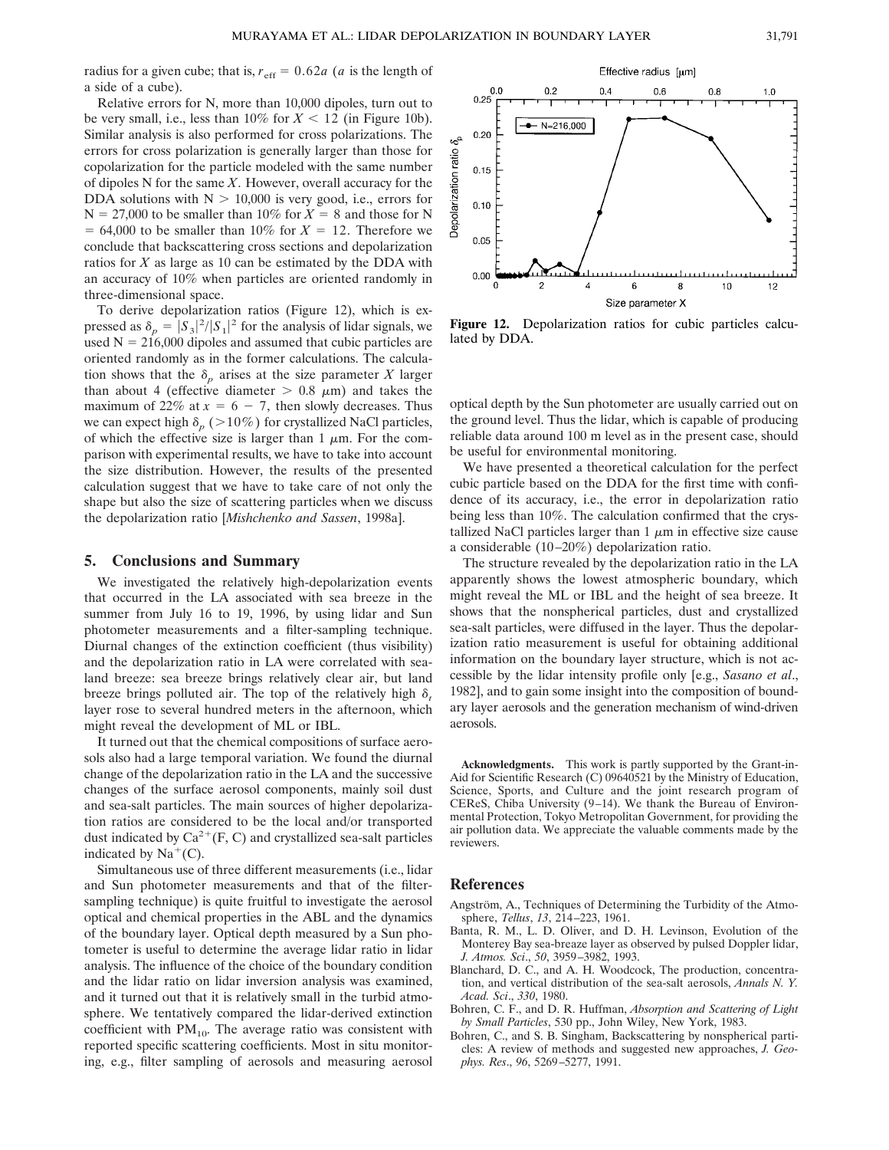radius for a given cube; that is,  $r_{\text{eff}} = 0.62a$  (*a* is the length of a side of a cube).

Relative errors for N, more than 10,000 dipoles, turn out to be very small, i.e., less than  $10\%$  for  $X < 12$  (in Figure 10b). Similar analysis is also performed for cross polarizations. The errors for cross polarization is generally larger than those for copolarization for the particle modeled with the same number of dipoles N for the same *X*. However, overall accuracy for the DDA solutions with  $N > 10,000$  is very good, i.e., errors for  $N = 27,000$  to be smaller than 10% for  $X = 8$  and those for N  $= 64,000$  to be smaller than 10% for  $X = 12$ . Therefore we conclude that backscattering cross sections and depolarization ratios for *X* as large as 10 can be estimated by the DDA with an accuracy of 10% when particles are oriented randomly in three-dimensional space.

To derive depolarization ratios (Figure 12), which is expressed as  $\delta_p = |S_3|^2/|S_1|^2$  for the analysis of lidar signals, we used  $N = 216,000$  dipoles and assumed that cubic particles are oriented randomly as in the former calculations. The calculation shows that the  $\delta_p$  arises at the size parameter *X* larger than about 4 (effective diameter  $> 0.8 \mu m$ ) and takes the maximum of 22% at  $x = 6 - 7$ , then slowly decreases. Thus we can expect high  $\delta_p$  ( $>$ 10%) for crystallized NaCl particles, of which the effective size is larger than 1  $\mu$ m. For the comparison with experimental results, we have to take into account the size distribution. However, the results of the presented calculation suggest that we have to take care of not only the shape but also the size of scattering particles when we discuss the depolarization ratio [*Mishchenko and Sassen*, 1998a].

## **5. Conclusions and Summary**

We investigated the relatively high-depolarization events that occurred in the LA associated with sea breeze in the summer from July 16 to 19, 1996, by using lidar and Sun photometer measurements and a filter-sampling technique. Diurnal changes of the extinction coefficient (thus visibility) and the depolarization ratio in LA were correlated with sealand breeze: sea breeze brings relatively clear air, but land breeze brings polluted air. The top of the relatively high  $\delta_t$ layer rose to several hundred meters in the afternoon, which might reveal the development of ML or IBL.

It turned out that the chemical compositions of surface aerosols also had a large temporal variation. We found the diurnal change of the depolarization ratio in the LA and the successive changes of the surface aerosol components, mainly soil dust and sea-salt particles. The main sources of higher depolarization ratios are considered to be the local and/or transported dust indicated by  $Ca^{2+}(F, C)$  and crystallized sea-salt particles indicated by  $Na<sup>+</sup>(C)$ .

Simultaneous use of three different measurements (i.e., lidar and Sun photometer measurements and that of the filtersampling technique) is quite fruitful to investigate the aerosol optical and chemical properties in the ABL and the dynamics of the boundary layer. Optical depth measured by a Sun photometer is useful to determine the average lidar ratio in lidar analysis. The influence of the choice of the boundary condition and the lidar ratio on lidar inversion analysis was examined, and it turned out that it is relatively small in the turbid atmosphere. We tentatively compared the lidar-derived extinction coefficient with  $PM_{10}$ . The average ratio was consistent with reported specific scattering coefficients. Most in situ monitoring, e.g., filter sampling of aerosols and measuring aerosol



**Figure 12.** Depolarization ratios for cubic particles calculated by DDA.

optical depth by the Sun photometer are usually carried out on the ground level. Thus the lidar, which is capable of producing reliable data around 100 m level as in the present case, should be useful for environmental monitoring.

We have presented a theoretical calculation for the perfect cubic particle based on the DDA for the first time with confidence of its accuracy, i.e., the error in depolarization ratio being less than 10%. The calculation confirmed that the crystallized NaCl particles larger than  $1 \mu m$  in effective size cause a considerable (10–20%) depolarization ratio.

The structure revealed by the depolarization ratio in the LA apparently shows the lowest atmospheric boundary, which might reveal the ML or IBL and the height of sea breeze. It shows that the nonspherical particles, dust and crystallized sea-salt particles, were diffused in the layer. Thus the depolarization ratio measurement is useful for obtaining additional information on the boundary layer structure, which is not accessible by the lidar intensity profile only [e.g., *Sasano et al*., 1982], and to gain some insight into the composition of boundary layer aerosols and the generation mechanism of wind-driven aerosols.

**Acknowledgments.** This work is partly supported by the Grant-in-Aid for Scientific Research (C) 09640521 by the Ministry of Education, Science, Sports, and Culture and the joint research program of CEReS, Chiba University (9–14). We thank the Bureau of Environmental Protection, Tokyo Metropolitan Government, for providing the air pollution data. We appreciate the valuable comments made by the reviewers.

# **References**

- Angström, A., Techniques of Determining the Turbidity of the Atmosphere, *Tellus*, *13*, 214–223, 1961.
- Banta, R. M., L. D. Oliver, and D. H. Levinson, Evolution of the Monterey Bay sea-breaze layer as observed by pulsed Doppler lidar, *J. Atmos. Sci*., *50*, 3959–3982, 1993.
- Blanchard, D. C., and A. H. Woodcock, The production, concentration, and vertical distribution of the sea-salt aerosols, *Annals N. Y. Acad. Sci*., *330*, 1980.
- Bohren, C. F., and D. R. Huffman, *Absorption and Scattering of Light by Small Particles*, 530 pp., John Wiley, New York, 1983.
- Bohren, C., and S. B. Singham, Backscattering by nonspherical particles: A review of methods and suggested new approaches, *J. Geophys. Res*., *96*, 5269–5277, 1991.